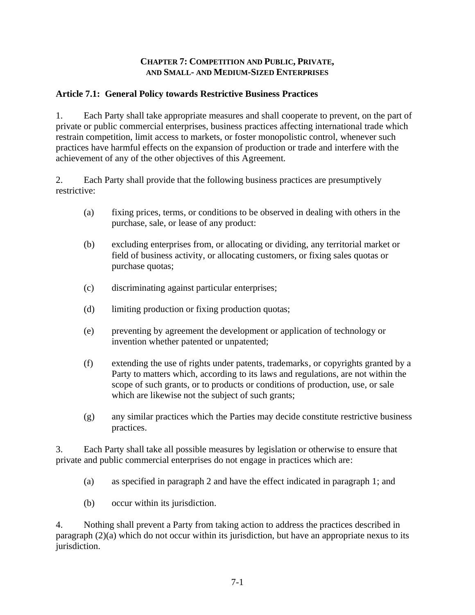### **CHAPTER 7: COMPETITION AND PUBLIC, PRIVATE, AND SMALL- AND MEDIUM-SIZED ENTERPRISES**

### **Article 7.1: General Policy towards Restrictive Business Practices**

1. Each Party shall take appropriate measures and shall cooperate to prevent, on the part of private or public commercial enterprises, business practices affecting international trade which restrain competition, limit access to markets, or foster monopolistic control, whenever such practices have harmful effects on the expansion of production or trade and interfere with the achievement of any of the other objectives of this Agreement.

2. Each Party shall provide that the following business practices are presumptively restrictive:

- (a) fixing prices, terms, or conditions to be observed in dealing with others in the purchase, sale, or lease of any product:
- (b) excluding enterprises from, or allocating or dividing, any territorial market or field of business activity, or allocating customers, or fixing sales quotas or purchase quotas;
- (c) discriminating against particular enterprises;
- (d) limiting production or fixing production quotas;
- (e) preventing by agreement the development or application of technology or invention whether patented or unpatented;
- (f) extending the use of rights under patents, trademarks, or copyrights granted by a Party to matters which, according to its laws and regulations, are not within the scope of such grants, or to products or conditions of production, use, or sale which are likewise not the subject of such grants;
- (g) any similar practices which the Parties may decide constitute restrictive business practices.

3. Each Party shall take all possible measures by legislation or otherwise to ensure that private and public commercial enterprises do not engage in practices which are:

- (a) as specified in paragraph 2 and have the effect indicated in paragraph 1; and
- (b) occur within its jurisdiction.

4. Nothing shall prevent a Party from taking action to address the practices described in paragraph (2)(a) which do not occur within its jurisdiction, but have an appropriate nexus to its jurisdiction.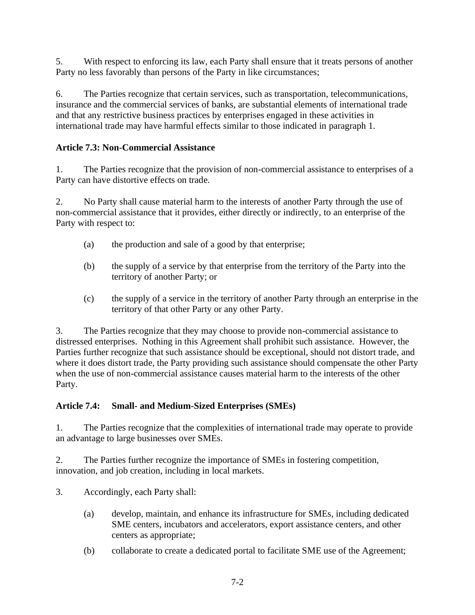5. With respect to enforcing its law, each Party shall ensure that it treats persons of another Party no less favorably than persons of the Party in like circumstances;

6. The Parties recognize that certain services, such as transportation, telecommunications, insurance and the commercial services of banks, are substantial elements of international trade and that any restrictive business practices by enterprises engaged in these activities in international trade may have harmful effects similar to those indicated in paragraph 1.

# **Article 7.3: Non-Commercial Assistance**

1. The Parties recognize that the provision of non-commercial assistance to enterprises of a Party can have distortive effects on trade.

2. No Party shall cause material harm to the interests of another Party through the use of non-commercial assistance that it provides, either directly or indirectly, to an enterprise of the Party with respect to:

- (a) the production and sale of a good by that enterprise;
- (b) the supply of a service by that enterprise from the territory of the Party into the territory of another Party; or
- (c) the supply of a service in the territory of another Party through an enterprise in the territory of that other Party or any other Party.

3. The Parties recognize that they may choose to provide non-commercial assistance to distressed enterprises. Nothing in this Agreement shall prohibit such assistance. However, the Parties further recognize that such assistance should be exceptional, should not distort trade, and where it does distort trade, the Party providing such assistance should compensate the other Party when the use of non-commercial assistance causes material harm to the interests of the other Party.

## **Article 7.4: Small- and Medium-Sized Enterprises (SMEs)**

1. The Parties recognize that the complexities of international trade may operate to provide an advantage to large businesses over SMEs.

2. The Parties further recognize the importance of SMEs in fostering competition, innovation, and job creation, including in local markets.

- 3. Accordingly, each Party shall:
	- (a) develop, maintain, and enhance its infrastructure for SMEs, including dedicated SME centers, incubators and accelerators, export assistance centers, and other centers as appropriate;
	- (b) collaborate to create a dedicated portal to facilitate SME use of the Agreement;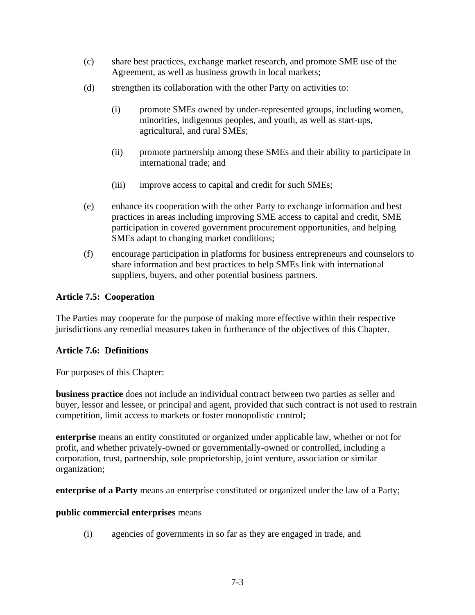- (c) share best practices, exchange market research, and promote SME use of the Agreement, as well as business growth in local markets;
- (d) strengthen its collaboration with the other Party on activities to:
	- (i) promote SMEs owned by under-represented groups, including women, minorities, indigenous peoples, and youth, as well as start-ups, agricultural, and rural SMEs;
	- (ii) promote partnership among these SMEs and their ability to participate in international trade; and
	- (iii) improve access to capital and credit for such SMEs;
- (e) enhance its cooperation with the other Party to exchange information and best practices in areas including improving SME access to capital and credit, SME participation in covered government procurement opportunities, and helping SMEs adapt to changing market conditions;
- (f) encourage participation in platforms for business entrepreneurs and counselors to share information and best practices to help SMEs link with international suppliers, buyers, and other potential business partners.

### **Article 7.5: Cooperation**

The Parties may cooperate for the purpose of making more effective within their respective jurisdictions any remedial measures taken in furtherance of the objectives of this Chapter.

### **Article 7.6: Definitions**

For purposes of this Chapter:

**business practice** does not include an individual contract between two parties as seller and buyer, lessor and lessee, or principal and agent, provided that such contract is not used to restrain competition, limit access to markets or foster monopolistic control;

**enterprise** means an entity constituted or organized under applicable law, whether or not for profit, and whether privately-owned or governmentally-owned or controlled, including a corporation, trust, partnership, sole proprietorship, joint venture, association or similar organization;

**enterprise of a Party** means an enterprise constituted or organized under the law of a Party;

### **public commercial enterprises** means

(i) agencies of governments in so far as they are engaged in trade, and